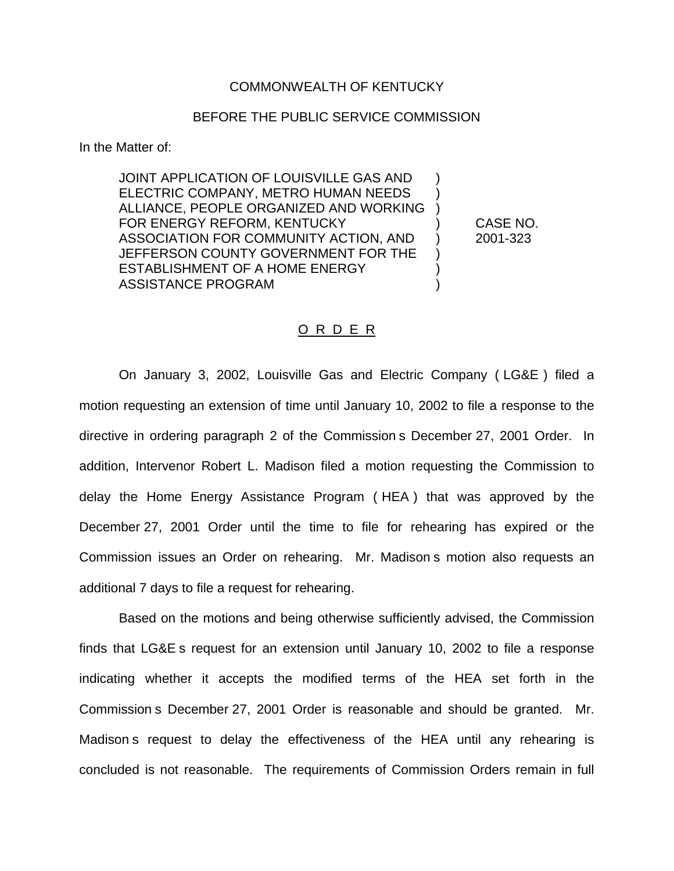## COMMONWEALTH OF KENTUCKY

## BEFORE THE PUBLIC SERVICE COMMISSION

In the Matter of:

JOINT APPLICATION OF LOUISVILLE GAS AND ) ELECTRIC COMPANY, METRO HUMAN NEEDS ) ALLIANCE, PEOPLE ORGANIZED AND WORKING ) FOR ENERGY REFORM, KENTUCKY (CASE NO. ASSOCIATION FOR COMMUNITY ACTION, AND ) 2001-323 JEFFERSON COUNTY GOVERNMENT FOR THE ESTABLISHMENT OF A HOME ENERGY  $)$ ASSISTANCE PROGRAM (1999)

## O R D E R

On January 3, 2002, Louisville Gas and Electric Company ( LG&E ) filed a motion requesting an extension of time until January 10, 2002 to file a response to the directive in ordering paragraph 2 of the Commission s December 27, 2001 Order. In addition, Intervenor Robert L. Madison filed a motion requesting the Commission to delay the Home Energy Assistance Program ( HEA ) that was approved by the December 27, 2001 Order until the time to file for rehearing has expired or the Commission issues an Order on rehearing. Mr. Madison s motion also requests an additional 7 days to file a request for rehearing.

Based on the motions and being otherwise sufficiently advised, the Commission finds that LG&E s request for an extension until January 10, 2002 to file a response indicating whether it accepts the modified terms of the HEA set forth in the Commission s December 27, 2001 Order is reasonable and should be granted. Mr. Madison s request to delay the effectiveness of the HEA until any rehearing is concluded is not reasonable. The requirements of Commission Orders remain in full